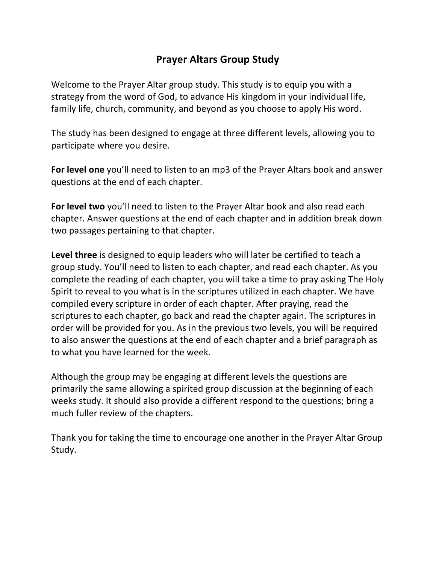# **Prayer Altars Group Study**

Welcome to the Prayer Altar group study. This study is to equip you with a strategy from the word of God, to advance His kingdom in your individual life, family life, church, community, and beyond as you choose to apply His word.

The study has been designed to engage at three different levels, allowing you to participate where you desire.

**For level one** you'll need to listen to an mp3 of the Prayer Altars book and answer questions at the end of each chapter.

**For level two** you'll need to listen to the Prayer Altar book and also read each chapter. Answer questions at the end of each chapter and in addition break down two passages pertaining to that chapter.

Level three is designed to equip leaders who will later be certified to teach a group study. You'll need to listen to each chapter, and read each chapter. As you complete the reading of each chapter, you will take a time to pray asking The Holy Spirit to reveal to you what is in the scriptures utilized in each chapter. We have compiled every scripture in order of each chapter. After praying, read the scriptures to each chapter, go back and read the chapter again. The scriptures in order will be provided for you. As in the previous two levels, you will be required to also answer the questions at the end of each chapter and a brief paragraph as to what you have learned for the week.

Although the group may be engaging at different levels the questions are primarily the same allowing a spirited group discussion at the beginning of each weeks study. It should also provide a different respond to the questions; bring a much fuller review of the chapters.

Thank you for taking the time to encourage one another in the Prayer Altar Group Study.